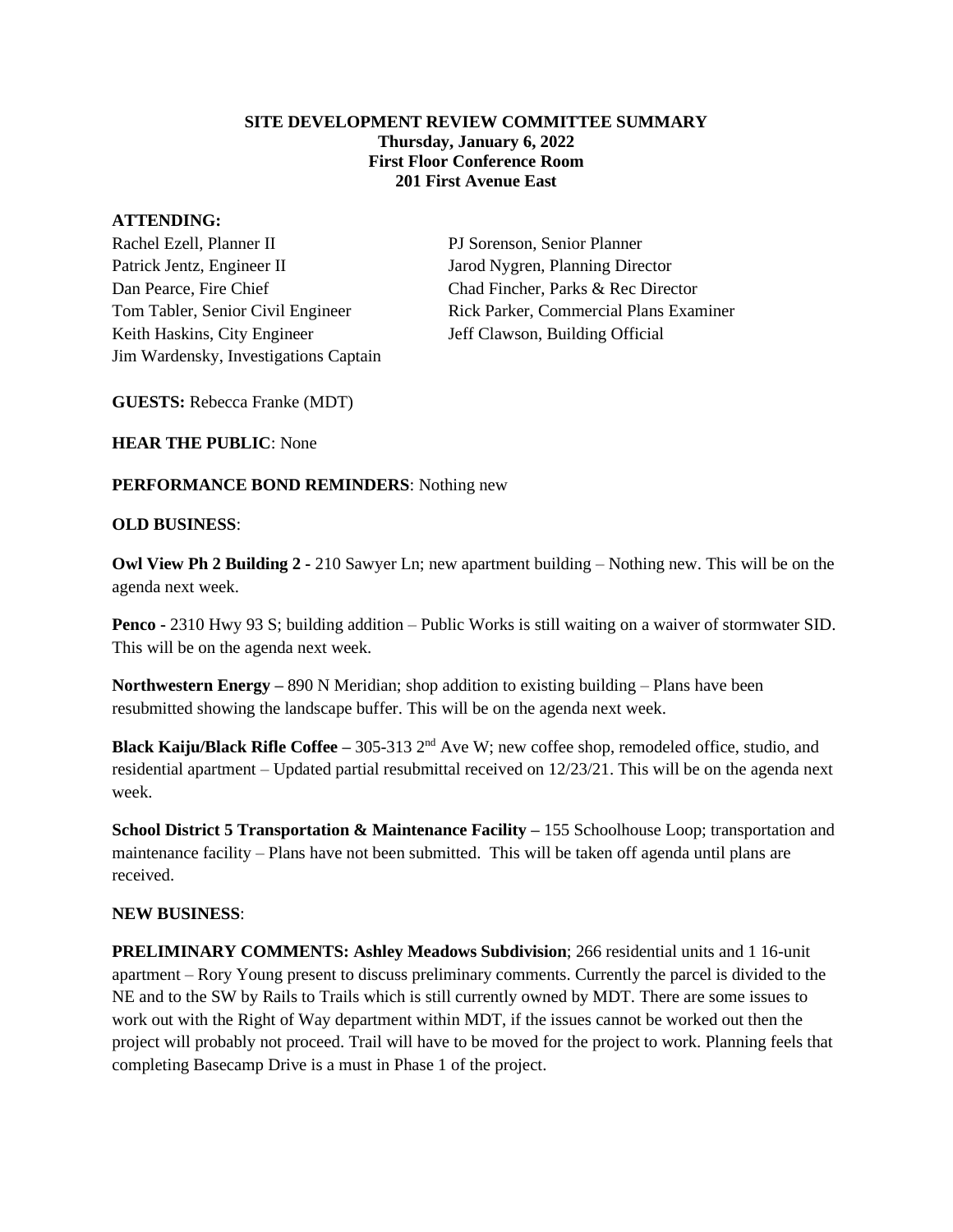#### **SITE DEVELOPMENT REVIEW COMMITTEE SUMMARY Thursday, January 6, 2022 First Floor Conference Room 201 First Avenue East**

#### **ATTENDING:**

Rachel Ezell, Planner II PJ Sorenson, Senior Planner Patrick Jentz, Engineer II Jarod Nygren, Planning Director Dan Pearce, Fire Chief Chad Fincher, Parks & Rec Director Keith Haskins, City Engineer Jeff Clawson, Building Official Jim Wardensky, Investigations Captain

Tom Tabler, Senior Civil Engineer Rick Parker, Commercial Plans Examiner

**GUESTS:** Rebecca Franke (MDT)

**HEAR THE PUBLIC**: None

## **PERFORMANCE BOND REMINDERS**: Nothing new

### **OLD BUSINESS**:

**Owl View Ph 2 Building 2 -** 210 Sawyer Ln; new apartment building – Nothing new. This will be on the agenda next week.

**Penco -** 2310 Hwy 93 S; building addition – Public Works is still waiting on a waiver of stormwater SID. This will be on the agenda next week.

**Northwestern Energy –** 890 N Meridian; shop addition to existing building – Plans have been resubmitted showing the landscape buffer. This will be on the agenda next week.

**Black Kaiju/Black Rifle Coffee –** 305-313 2nd Ave W; new coffee shop, remodeled office, studio, and residential apartment – Updated partial resubmittal received on 12/23/21. This will be on the agenda next week.

**School District 5 Transportation & Maintenance Facility –** 155 Schoolhouse Loop; transportation and maintenance facility – Plans have not been submitted. This will be taken off agenda until plans are received.

### **NEW BUSINESS**:

**PRELIMINARY COMMENTS: Ashley Meadows Subdivision**; 266 residential units and 1 16-unit apartment – Rory Young present to discuss preliminary comments. Currently the parcel is divided to the NE and to the SW by Rails to Trails which is still currently owned by MDT. There are some issues to work out with the Right of Way department within MDT, if the issues cannot be worked out then the project will probably not proceed. Trail will have to be moved for the project to work. Planning feels that completing Basecamp Drive is a must in Phase 1 of the project.